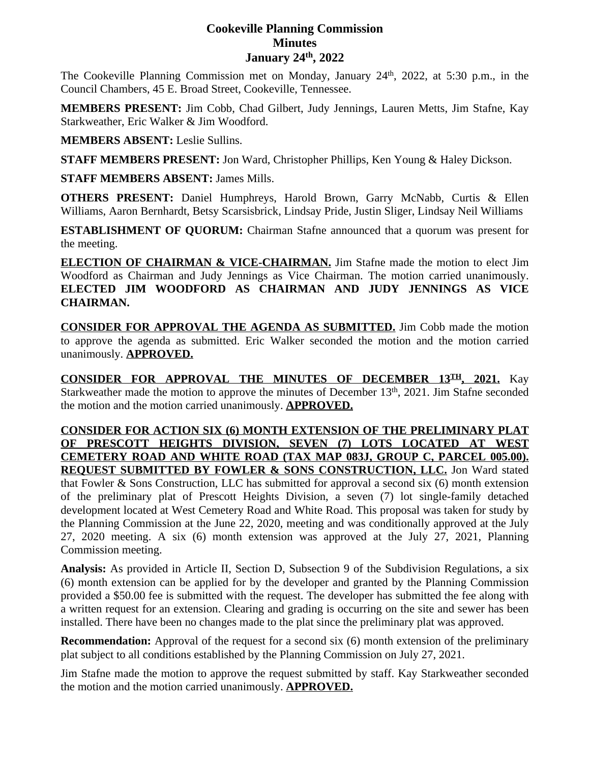# **Cookeville Planning Commission Minutes January 24th, 2022**

The Cookeville Planning Commission met on Monday, January 24<sup>th</sup>, 2022, at 5:30 p.m., in the Council Chambers, 45 E. Broad Street, Cookeville, Tennessee.

**MEMBERS PRESENT:** Jim Cobb, Chad Gilbert, Judy Jennings, Lauren Metts, Jim Stafne, Kay Starkweather, Eric Walker & Jim Woodford.

**MEMBERS ABSENT:** Leslie Sullins.

**STAFF MEMBERS PRESENT:** Jon Ward, Christopher Phillips, Ken Young & Haley Dickson.

**STAFF MEMBERS ABSENT:** James Mills.

**OTHERS PRESENT:** Daniel Humphreys, Harold Brown, Garry McNabb, Curtis & Ellen Williams, Aaron Bernhardt, Betsy Scarsisbrick, Lindsay Pride, Justin Sliger, Lindsay Neil Williams

**ESTABLISHMENT OF QUORUM:** Chairman Stafne announced that a quorum was present for the meeting.

**ELECTION OF CHAIRMAN & VICE-CHAIRMAN.** Jim Stafne made the motion to elect Jim Woodford as Chairman and Judy Jennings as Vice Chairman. The motion carried unanimously. **ELECTED JIM WOODFORD AS CHAIRMAN AND JUDY JENNINGS AS VICE CHAIRMAN.**

**CONSIDER FOR APPROVAL THE AGENDA AS SUBMITTED.** Jim Cobb made the motion to approve the agenda as submitted. Eric Walker seconded the motion and the motion carried unanimously. **APPROVED.**

**CONSIDER FOR APPROVAL THE MINUTES OF DECEMBER 13TH , 2021.** Kay Starkweather made the motion to approve the minutes of December 13<sup>th</sup>, 2021. Jim Stafne seconded the motion and the motion carried unanimously. **APPROVED.**

**CONSIDER FOR ACTION SIX (6) MONTH EXTENSION OF THE PRELIMINARY PLAT OF PRESCOTT HEIGHTS DIVISION, SEVEN (7) LOTS LOCATED AT WEST CEMETERY ROAD AND WHITE ROAD (TAX MAP 083J, GROUP C, PARCEL 005.00). REQUEST SUBMITTED BY FOWLER & SONS CONSTRUCTION, LLC.** Jon Ward stated that Fowler & Sons Construction, LLC has submitted for approval a second six (6) month extension of the preliminary plat of Prescott Heights Division, a seven (7) lot single-family detached development located at West Cemetery Road and White Road. This proposal was taken for study by the Planning Commission at the June 22, 2020, meeting and was conditionally approved at the July 27, 2020 meeting. A six (6) month extension was approved at the July 27, 2021, Planning Commission meeting.

**Analysis:** As provided in Article II, Section D, Subsection 9 of the Subdivision Regulations, a six (6) month extension can be applied for by the developer and granted by the Planning Commission provided a \$50.00 fee is submitted with the request. The developer has submitted the fee along with a written request for an extension. Clearing and grading is occurring on the site and sewer has been installed. There have been no changes made to the plat since the preliminary plat was approved.

**Recommendation:** Approval of the request for a second six (6) month extension of the preliminary plat subject to all conditions established by the Planning Commission on July 27, 2021.

Jim Stafne made the motion to approve the request submitted by staff. Kay Starkweather seconded the motion and the motion carried unanimously. **APPROVED.**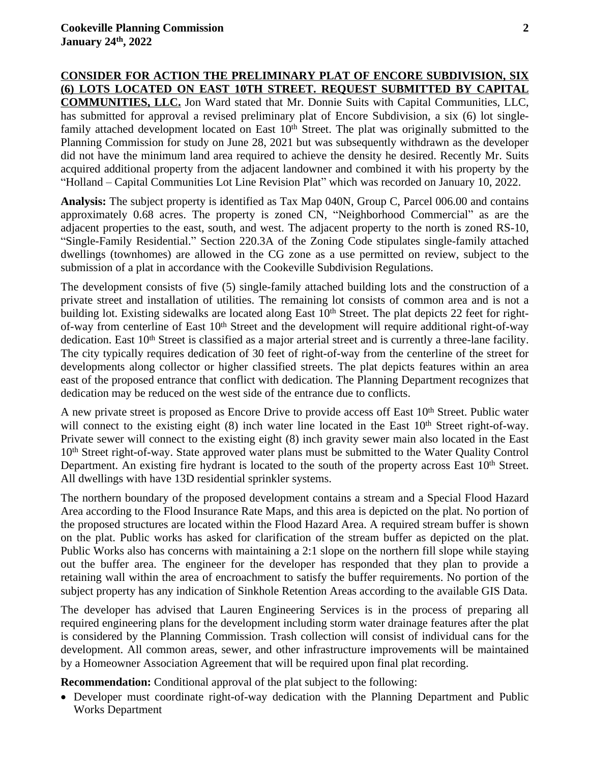**CONSIDER FOR ACTION THE PRELIMINARY PLAT OF ENCORE SUBDIVISION, SIX (6) LOTS LOCATED ON EAST 10TH STREET. REQUEST SUBMITTED BY CAPITAL COMMUNITIES, LLC.** Jon Ward stated that Mr. Donnie Suits with Capital Communities, LLC, has submitted for approval a revised preliminary plat of Encore Subdivision, a six (6) lot singlefamily attached development located on East  $10<sup>th</sup>$  Street. The plat was originally submitted to the Planning Commission for study on June 28, 2021 but was subsequently withdrawn as the developer did not have the minimum land area required to achieve the density he desired. Recently Mr. Suits acquired additional property from the adjacent landowner and combined it with his property by the "Holland – Capital Communities Lot Line Revision Plat" which was recorded on January 10, 2022.

**Analysis:** The subject property is identified as Tax Map 040N, Group C, Parcel 006.00 and contains approximately 0.68 acres. The property is zoned CN, "Neighborhood Commercial" as are the adjacent properties to the east, south, and west. The adjacent property to the north is zoned RS-10, "Single-Family Residential." Section 220.3A of the Zoning Code stipulates single-family attached dwellings (townhomes) are allowed in the CG zone as a use permitted on review, subject to the submission of a plat in accordance with the Cookeville Subdivision Regulations.

The development consists of five (5) single-family attached building lots and the construction of a private street and installation of utilities. The remaining lot consists of common area and is not a building lot. Existing sidewalks are located along East  $10<sup>th</sup>$  Street. The plat depicts 22 feet for rightof-way from centerline of East 10<sup>th</sup> Street and the development will require additional right-of-way dedication. East 10<sup>th</sup> Street is classified as a major arterial street and is currently a three-lane facility. The city typically requires dedication of 30 feet of right-of-way from the centerline of the street for developments along collector or higher classified streets. The plat depicts features within an area east of the proposed entrance that conflict with dedication. The Planning Department recognizes that dedication may be reduced on the west side of the entrance due to conflicts.

A new private street is proposed as Encore Drive to provide access off East 10<sup>th</sup> Street. Public water will connect to the existing eight (8) inch water line located in the East 10<sup>th</sup> Street right-of-way. Private sewer will connect to the existing eight (8) inch gravity sewer main also located in the East 10<sup>th</sup> Street right-of-way. State approved water plans must be submitted to the Water Quality Control Department. An existing fire hydrant is located to the south of the property across East 10<sup>th</sup> Street. All dwellings with have 13D residential sprinkler systems.

The northern boundary of the proposed development contains a stream and a Special Flood Hazard Area according to the Flood Insurance Rate Maps, and this area is depicted on the plat. No portion of the proposed structures are located within the Flood Hazard Area. A required stream buffer is shown on the plat. Public works has asked for clarification of the stream buffer as depicted on the plat. Public Works also has concerns with maintaining a 2:1 slope on the northern fill slope while staying out the buffer area. The engineer for the developer has responded that they plan to provide a retaining wall within the area of encroachment to satisfy the buffer requirements. No portion of the subject property has any indication of Sinkhole Retention Areas according to the available GIS Data.

The developer has advised that Lauren Engineering Services is in the process of preparing all required engineering plans for the development including storm water drainage features after the plat is considered by the Planning Commission. Trash collection will consist of individual cans for the development. All common areas, sewer, and other infrastructure improvements will be maintained by a Homeowner Association Agreement that will be required upon final plat recording.

**Recommendation:** Conditional approval of the plat subject to the following:

 Developer must coordinate right-of-way dedication with the Planning Department and Public Works Department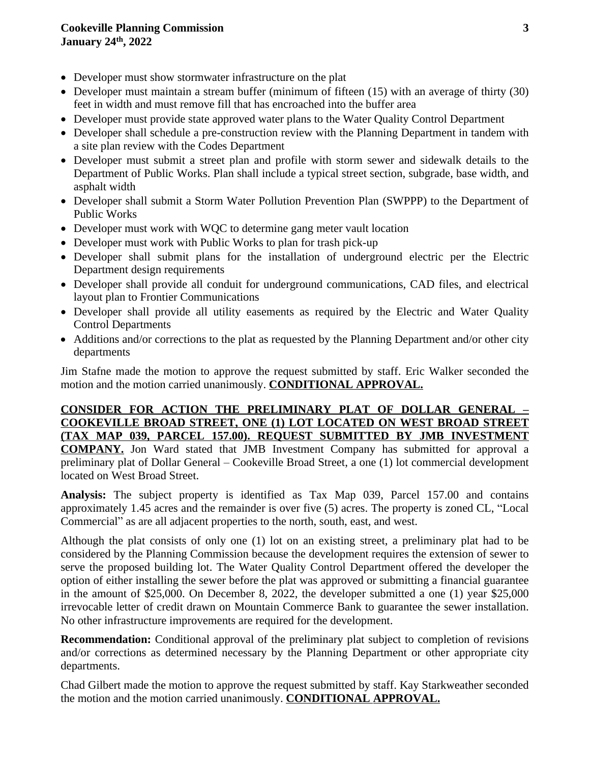## **Cookeville Planning Commission 3 January 24th , 2022**

- Developer must show stormwater infrastructure on the plat
- Developer must maintain a stream buffer (minimum of fifteen (15) with an average of thirty (30) feet in width and must remove fill that has encroached into the buffer area
- Developer must provide state approved water plans to the Water Quality Control Department
- Developer shall schedule a pre-construction review with the Planning Department in tandem with a site plan review with the Codes Department
- Developer must submit a street plan and profile with storm sewer and sidewalk details to the Department of Public Works. Plan shall include a typical street section, subgrade, base width, and asphalt width
- Developer shall submit a Storm Water Pollution Prevention Plan (SWPPP) to the Department of Public Works
- Developer must work with WQC to determine gang meter vault location
- Developer must work with Public Works to plan for trash pick-up
- Developer shall submit plans for the installation of underground electric per the Electric Department design requirements
- Developer shall provide all conduit for underground communications, CAD files, and electrical layout plan to Frontier Communications
- Developer shall provide all utility easements as required by the Electric and Water Quality Control Departments
- Additions and/or corrections to the plat as requested by the Planning Department and/or other city departments

Jim Stafne made the motion to approve the request submitted by staff. Eric Walker seconded the motion and the motion carried unanimously. **CONDITIONAL APPROVAL.**

**CONSIDER FOR ACTION THE PRELIMINARY PLAT OF DOLLAR GENERAL – COOKEVILLE BROAD STREET, ONE (1) LOT LOCATED ON WEST BROAD STREET (TAX MAP 039, PARCEL 157.00). REQUEST SUBMITTED BY JMB INVESTMENT COMPANY.** Jon Ward stated that JMB Investment Company has submitted for approval a preliminary plat of Dollar General – Cookeville Broad Street, a one (1) lot commercial development located on West Broad Street.

**Analysis:** The subject property is identified as Tax Map 039, Parcel 157.00 and contains approximately 1.45 acres and the remainder is over five (5) acres. The property is zoned CL, "Local Commercial" as are all adjacent properties to the north, south, east, and west.

Although the plat consists of only one (1) lot on an existing street, a preliminary plat had to be considered by the Planning Commission because the development requires the extension of sewer to serve the proposed building lot. The Water Quality Control Department offered the developer the option of either installing the sewer before the plat was approved or submitting a financial guarantee in the amount of \$25,000. On December 8, 2022, the developer submitted a one (1) year \$25,000 irrevocable letter of credit drawn on Mountain Commerce Bank to guarantee the sewer installation. No other infrastructure improvements are required for the development.

**Recommendation:** Conditional approval of the preliminary plat subject to completion of revisions and/or corrections as determined necessary by the Planning Department or other appropriate city departments.

Chad Gilbert made the motion to approve the request submitted by staff. Kay Starkweather seconded the motion and the motion carried unanimously. **CONDITIONAL APPROVAL.**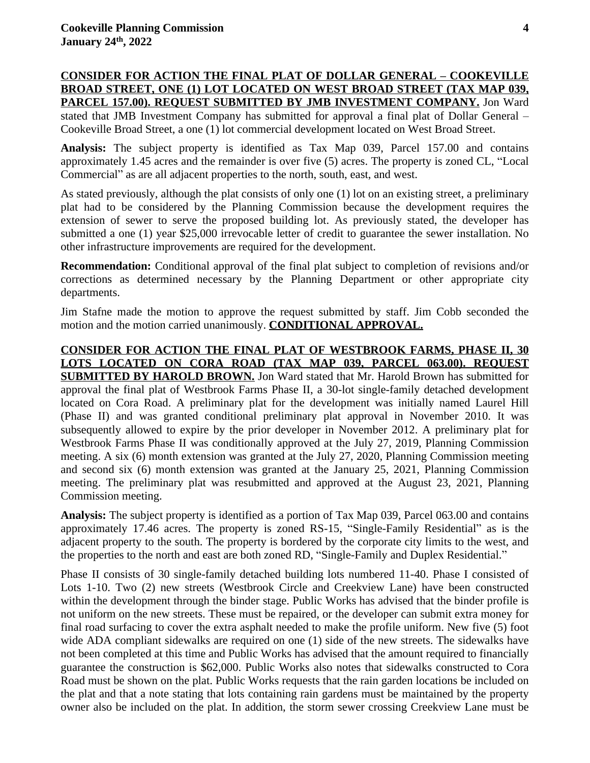**CONSIDER FOR ACTION THE FINAL PLAT OF DOLLAR GENERAL – COOKEVILLE BROAD STREET, ONE (1) LOT LOCATED ON WEST BROAD STREET (TAX MAP 039, PARCEL 157.00). REQUEST SUBMITTED BY JMB INVESTMENT COMPANY.** Jon Ward stated that JMB Investment Company has submitted for approval a final plat of Dollar General – Cookeville Broad Street, a one (1) lot commercial development located on West Broad Street.

**Analysis:** The subject property is identified as Tax Map 039, Parcel 157.00 and contains approximately 1.45 acres and the remainder is over five (5) acres. The property is zoned CL, "Local Commercial" as are all adjacent properties to the north, south, east, and west.

As stated previously, although the plat consists of only one (1) lot on an existing street, a preliminary plat had to be considered by the Planning Commission because the development requires the extension of sewer to serve the proposed building lot. As previously stated, the developer has submitted a one (1) year \$25,000 irrevocable letter of credit to guarantee the sewer installation. No other infrastructure improvements are required for the development.

**Recommendation:** Conditional approval of the final plat subject to completion of revisions and/or corrections as determined necessary by the Planning Department or other appropriate city departments.

Jim Stafne made the motion to approve the request submitted by staff. Jim Cobb seconded the motion and the motion carried unanimously. **CONDITIONAL APPROVAL.**

**CONSIDER FOR ACTION THE FINAL PLAT OF WESTBROOK FARMS, PHASE II, 30 LOTS LOCATED ON CORA ROAD (TAX MAP 039, PARCEL 063.00). REQUEST SUBMITTED BY HAROLD BROWN.** Jon Ward stated that Mr. Harold Brown has submitted for approval the final plat of Westbrook Farms Phase II, a 30-lot single-family detached development located on Cora Road. A preliminary plat for the development was initially named Laurel Hill (Phase II) and was granted conditional preliminary plat approval in November 2010. It was subsequently allowed to expire by the prior developer in November 2012. A preliminary plat for Westbrook Farms Phase II was conditionally approved at the July 27, 2019, Planning Commission meeting. A six (6) month extension was granted at the July 27, 2020, Planning Commission meeting and second six (6) month extension was granted at the January 25, 2021, Planning Commission meeting. The preliminary plat was resubmitted and approved at the August 23, 2021, Planning Commission meeting.

**Analysis:** The subject property is identified as a portion of Tax Map 039, Parcel 063.00 and contains approximately 17.46 acres. The property is zoned RS-15, "Single-Family Residential" as is the adjacent property to the south. The property is bordered by the corporate city limits to the west, and the properties to the north and east are both zoned RD, "Single-Family and Duplex Residential."

Phase II consists of 30 single-family detached building lots numbered 11-40. Phase I consisted of Lots 1-10. Two (2) new streets (Westbrook Circle and Creekview Lane) have been constructed within the development through the binder stage. Public Works has advised that the binder profile is not uniform on the new streets. These must be repaired, or the developer can submit extra money for final road surfacing to cover the extra asphalt needed to make the profile uniform. New five (5) foot wide ADA compliant sidewalks are required on one (1) side of the new streets. The sidewalks have not been completed at this time and Public Works has advised that the amount required to financially guarantee the construction is \$62,000. Public Works also notes that sidewalks constructed to Cora Road must be shown on the plat. Public Works requests that the rain garden locations be included on the plat and that a note stating that lots containing rain gardens must be maintained by the property owner also be included on the plat. In addition, the storm sewer crossing Creekview Lane must be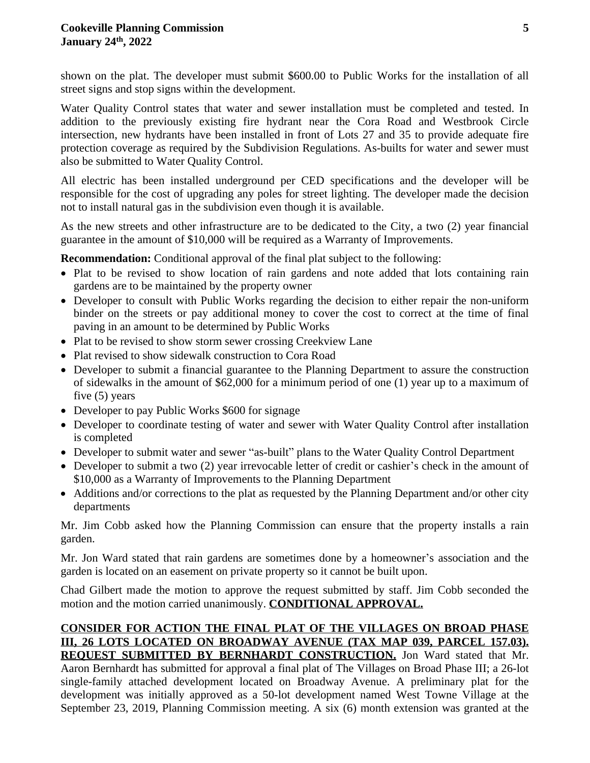shown on the plat. The developer must submit \$600.00 to Public Works for the installation of all street signs and stop signs within the development.

Water Quality Control states that water and sewer installation must be completed and tested. In addition to the previously existing fire hydrant near the Cora Road and Westbrook Circle intersection, new hydrants have been installed in front of Lots 27 and 35 to provide adequate fire protection coverage as required by the Subdivision Regulations. As-builts for water and sewer must also be submitted to Water Quality Control.

All electric has been installed underground per CED specifications and the developer will be responsible for the cost of upgrading any poles for street lighting. The developer made the decision not to install natural gas in the subdivision even though it is available.

As the new streets and other infrastructure are to be dedicated to the City, a two (2) year financial guarantee in the amount of \$10,000 will be required as a Warranty of Improvements.

**Recommendation:** Conditional approval of the final plat subject to the following:

- Plat to be revised to show location of rain gardens and note added that lots containing rain gardens are to be maintained by the property owner
- Developer to consult with Public Works regarding the decision to either repair the non-uniform binder on the streets or pay additional money to cover the cost to correct at the time of final paving in an amount to be determined by Public Works
- Plat to be revised to show storm sewer crossing Creekview Lane
- Plat revised to show sidewalk construction to Cora Road
- Developer to submit a financial guarantee to the Planning Department to assure the construction of sidewalks in the amount of \$62,000 for a minimum period of one (1) year up to a maximum of five (5) years
- Developer to pay Public Works \$600 for signage
- Developer to coordinate testing of water and sewer with Water Quality Control after installation is completed
- Developer to submit water and sewer "as-built" plans to the Water Quality Control Department
- Developer to submit a two (2) year irrevocable letter of credit or cashier's check in the amount of \$10,000 as a Warranty of Improvements to the Planning Department
- Additions and/or corrections to the plat as requested by the Planning Department and/or other city departments

Mr. Jim Cobb asked how the Planning Commission can ensure that the property installs a rain garden.

Mr. Jon Ward stated that rain gardens are sometimes done by a homeowner's association and the garden is located on an easement on private property so it cannot be built upon.

Chad Gilbert made the motion to approve the request submitted by staff. Jim Cobb seconded the motion and the motion carried unanimously. **CONDITIONAL APPROVAL.**

## **CONSIDER FOR ACTION THE FINAL PLAT OF THE VILLAGES ON BROAD PHASE III, 26 LOTS LOCATED ON BROADWAY AVENUE (TAX MAP 039, PARCEL 157.03). REQUEST SUBMITTED BY BERNHARDT CONSTRUCTION.** Jon Ward stated that Mr.

Aaron Bernhardt has submitted for approval a final plat of The Villages on Broad Phase III; a 26-lot single-family attached development located on Broadway Avenue. A preliminary plat for the development was initially approved as a 50-lot development named West Towne Village at the September 23, 2019, Planning Commission meeting. A six (6) month extension was granted at the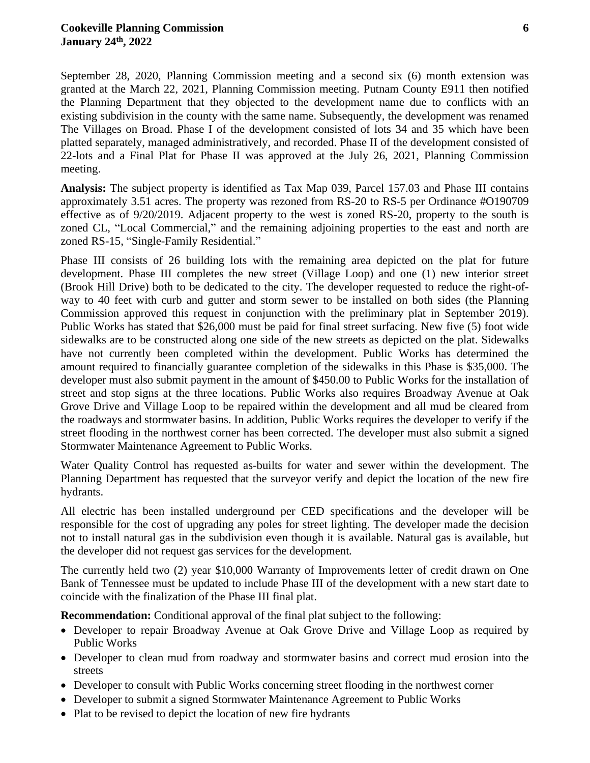September 28, 2020, Planning Commission meeting and a second six (6) month extension was granted at the March 22, 2021, Planning Commission meeting. Putnam County E911 then notified the Planning Department that they objected to the development name due to conflicts with an existing subdivision in the county with the same name. Subsequently, the development was renamed The Villages on Broad. Phase I of the development consisted of lots 34 and 35 which have been platted separately, managed administratively, and recorded. Phase II of the development consisted of 22-lots and a Final Plat for Phase II was approved at the July 26, 2021, Planning Commission meeting.

**Analysis:** The subject property is identified as Tax Map 039, Parcel 157.03 and Phase III contains approximately 3.51 acres. The property was rezoned from RS-20 to RS-5 per Ordinance #O190709 effective as of 9/20/2019. Adjacent property to the west is zoned RS-20, property to the south is zoned CL, "Local Commercial," and the remaining adjoining properties to the east and north are zoned RS-15, "Single-Family Residential."

Phase III consists of 26 building lots with the remaining area depicted on the plat for future development. Phase III completes the new street (Village Loop) and one (1) new interior street (Brook Hill Drive) both to be dedicated to the city. The developer requested to reduce the right-ofway to 40 feet with curb and gutter and storm sewer to be installed on both sides (the Planning Commission approved this request in conjunction with the preliminary plat in September 2019). Public Works has stated that \$26,000 must be paid for final street surfacing. New five (5) foot wide sidewalks are to be constructed along one side of the new streets as depicted on the plat. Sidewalks have not currently been completed within the development. Public Works has determined the amount required to financially guarantee completion of the sidewalks in this Phase is \$35,000. The developer must also submit payment in the amount of \$450.00 to Public Works for the installation of street and stop signs at the three locations. Public Works also requires Broadway Avenue at Oak Grove Drive and Village Loop to be repaired within the development and all mud be cleared from the roadways and stormwater basins. In addition, Public Works requires the developer to verify if the street flooding in the northwest corner has been corrected. The developer must also submit a signed Stormwater Maintenance Agreement to Public Works.

Water Quality Control has requested as-builts for water and sewer within the development. The Planning Department has requested that the surveyor verify and depict the location of the new fire hydrants.

All electric has been installed underground per CED specifications and the developer will be responsible for the cost of upgrading any poles for street lighting. The developer made the decision not to install natural gas in the subdivision even though it is available. Natural gas is available, but the developer did not request gas services for the development*.*

The currently held two (2) year \$10,000 Warranty of Improvements letter of credit drawn on One Bank of Tennessee must be updated to include Phase III of the development with a new start date to coincide with the finalization of the Phase III final plat.

**Recommendation:** Conditional approval of the final plat subject to the following:

- Developer to repair Broadway Avenue at Oak Grove Drive and Village Loop as required by Public Works
- Developer to clean mud from roadway and stormwater basins and correct mud erosion into the streets
- Developer to consult with Public Works concerning street flooding in the northwest corner
- Developer to submit a signed Stormwater Maintenance Agreement to Public Works
- Plat to be revised to depict the location of new fire hydrants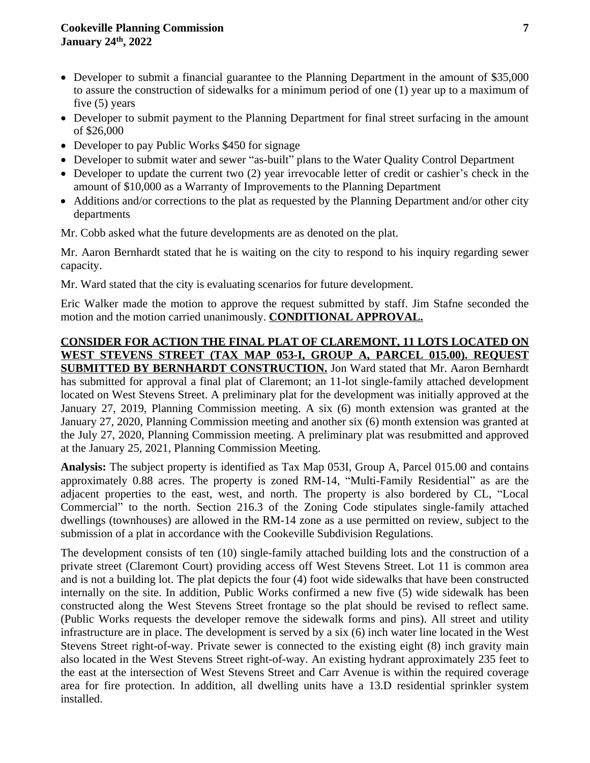## **Cookeville Planning Commission 7 January 24th , 2022**

- Developer to submit a financial guarantee to the Planning Department in the amount of \$35,000 to assure the construction of sidewalks for a minimum period of one (1) year up to a maximum of five (5) years
- Developer to submit payment to the Planning Department for final street surfacing in the amount of \$26,000
- Developer to pay Public Works \$450 for signage
- Developer to submit water and sewer "as-built" plans to the Water Quality Control Department
- Developer to update the current two (2) year irrevocable letter of credit or cashier's check in the amount of \$10,000 as a Warranty of Improvements to the Planning Department
- Additions and/or corrections to the plat as requested by the Planning Department and/or other city departments

Mr. Cobb asked what the future developments are as denoted on the plat.

Mr. Aaron Bernhardt stated that he is waiting on the city to respond to his inquiry regarding sewer capacity.

Mr. Ward stated that the city is evaluating scenarios for future development.

Eric Walker made the motion to approve the request submitted by staff. Jim Stafne seconded the motion and the motion carried unanimously. **CONDITIONAL APPROVAL.**

## **CONSIDER FOR ACTION THE FINAL PLAT OF CLAREMONT, 11 LOTS LOCATED ON WEST STEVENS STREET (TAX MAP 053-I, GROUP A, PARCEL 015.00). REQUEST**

**SUBMITTED BY BERNHARDT CONSTRUCTION.** Jon Ward stated that Mr. Aaron Bernhardt has submitted for approval a final plat of Claremont; an 11-lot single-family attached development located on West Stevens Street. A preliminary plat for the development was initially approved at the January 27, 2019, Planning Commission meeting. A six (6) month extension was granted at the January 27, 2020, Planning Commission meeting and another six (6) month extension was granted at the July 27, 2020, Planning Commission meeting. A preliminary plat was resubmitted and approved at the January 25, 2021, Planning Commission Meeting.

**Analysis:** The subject property is identified as Tax Map 053I, Group A, Parcel 015.00 and contains approximately 0.88 acres. The property is zoned RM-14, "Multi-Family Residential" as are the adjacent properties to the east, west, and north. The property is also bordered by CL, "Local Commercial" to the north. Section 216.3 of the Zoning Code stipulates single-family attached dwellings (townhouses) are allowed in the RM-14 zone as a use permitted on review, subject to the submission of a plat in accordance with the Cookeville Subdivision Regulations.

The development consists of ten (10) single-family attached building lots and the construction of a private street (Claremont Court) providing access off West Stevens Street. Lot 11 is common area and is not a building lot. The plat depicts the four (4) foot wide sidewalks that have been constructed internally on the site. In addition, Public Works confirmed a new five (5) wide sidewalk has been constructed along the West Stevens Street frontage so the plat should be revised to reflect same. (Public Works requests the developer remove the sidewalk forms and pins). All street and utility infrastructure are in place. The development is served by a six (6) inch water line located in the West Stevens Street right-of-way. Private sewer is connected to the existing eight (8) inch gravity main also located in the West Stevens Street right-of-way. An existing hydrant approximately 235 feet to the east at the intersection of West Stevens Street and Carr Avenue is within the required coverage area for fire protection. In addition, all dwelling units have a 13.D residential sprinkler system installed.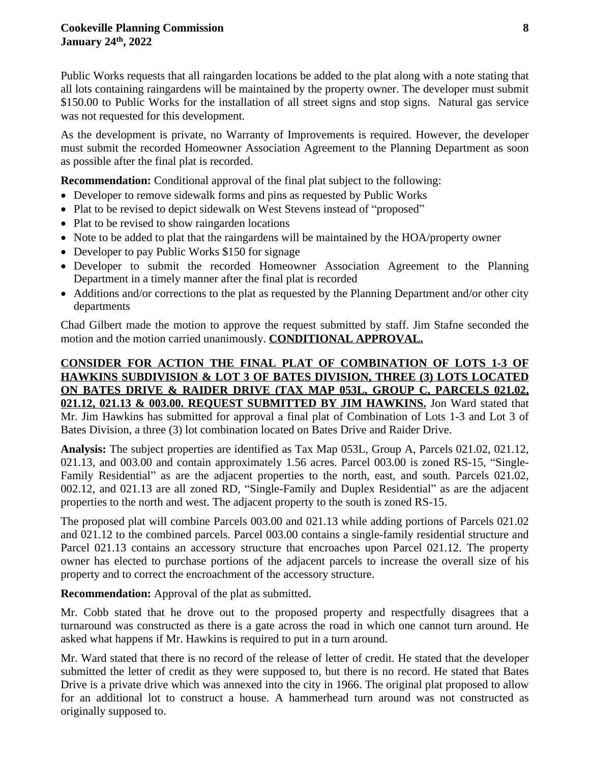Public Works requests that all raingarden locations be added to the plat along with a note stating that all lots containing raingardens will be maintained by the property owner. The developer must submit \$150.00 to Public Works for the installation of all street signs and stop signs. Natural gas service was not requested for this development.

As the development is private, no Warranty of Improvements is required. However, the developer must submit the recorded Homeowner Association Agreement to the Planning Department as soon as possible after the final plat is recorded.

**Recommendation:** Conditional approval of the final plat subject to the following:

- Developer to remove sidewalk forms and pins as requested by Public Works
- Plat to be revised to depict sidewalk on West Stevens instead of "proposed"
- Plat to be revised to show raingarden locations
- Note to be added to plat that the raingardens will be maintained by the HOA/property owner
- Developer to pay Public Works \$150 for signage
- Developer to submit the recorded Homeowner Association Agreement to the Planning Department in a timely manner after the final plat is recorded
- Additions and/or corrections to the plat as requested by the Planning Department and/or other city departments

Chad Gilbert made the motion to approve the request submitted by staff. Jim Stafne seconded the motion and the motion carried unanimously. **CONDITIONAL APPROVAL.**

# **CONSIDER FOR ACTION THE FINAL PLAT OF COMBINATION OF LOTS 1-3 OF HAWKINS SUBDIVISION & LOT 3 OF BATES DIVISION, THREE (3) LOTS LOCATED ON BATES DRIVE & RAIDER DRIVE (TAX MAP 053L, GROUP C, PARCELS 021.02, 021.12, 021.13 & 003.00. REQUEST SUBMITTED BY JIM HAWKINS.** Jon Ward stated that Mr. Jim Hawkins has submitted for approval a final plat of Combination of Lots 1-3 and Lot 3 of Bates Division, a three (3) lot combination located on Bates Drive and Raider Drive.

**Analysis:** The subject properties are identified as Tax Map 053L, Group A, Parcels 021.02, 021.12, 021.13, and 003.00 and contain approximately 1.56 acres. Parcel 003.00 is zoned RS-15, "Single-Family Residential" as are the adjacent properties to the north, east, and south. Parcels 021.02, 002.12, and 021.13 are all zoned RD, "Single-Family and Duplex Residential" as are the adjacent properties to the north and west. The adjacent property to the south is zoned RS-15.

The proposed plat will combine Parcels 003.00 and 021.13 while adding portions of Parcels 021.02 and 021.12 to the combined parcels. Parcel 003.00 contains a single-family residential structure and Parcel 021.13 contains an accessory structure that encroaches upon Parcel 021.12. The property owner has elected to purchase portions of the adjacent parcels to increase the overall size of his property and to correct the encroachment of the accessory structure.

**Recommendation:** Approval of the plat as submitted.

Mr. Cobb stated that he drove out to the proposed property and respectfully disagrees that a turnaround was constructed as there is a gate across the road in which one cannot turn around. He asked what happens if Mr. Hawkins is required to put in a turn around.

Mr. Ward stated that there is no record of the release of letter of credit. He stated that the developer submitted the letter of credit as they were supposed to, but there is no record. He stated that Bates Drive is a private drive which was annexed into the city in 1966. The original plat proposed to allow for an additional lot to construct a house. A hammerhead turn around was not constructed as originally supposed to.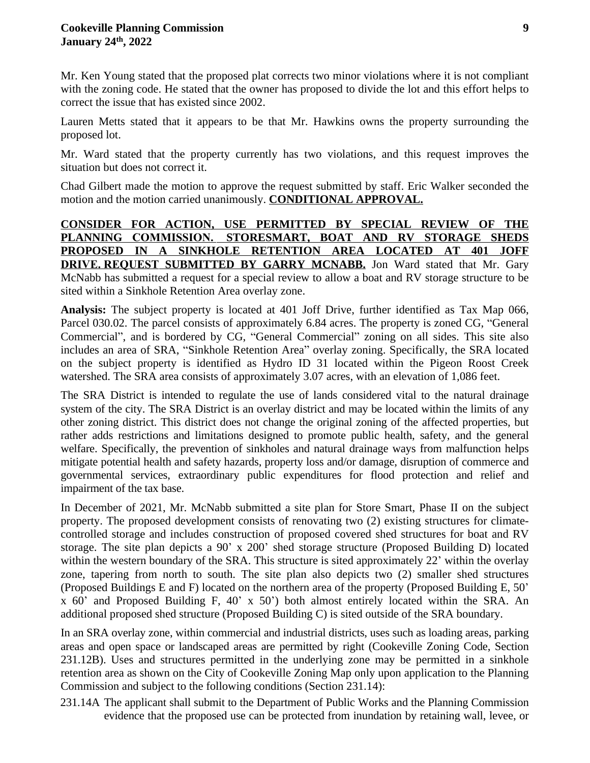Mr. Ken Young stated that the proposed plat corrects two minor violations where it is not compliant with the zoning code. He stated that the owner has proposed to divide the lot and this effort helps to correct the issue that has existed since 2002.

Lauren Metts stated that it appears to be that Mr. Hawkins owns the property surrounding the proposed lot.

Mr. Ward stated that the property currently has two violations, and this request improves the situation but does not correct it.

Chad Gilbert made the motion to approve the request submitted by staff. Eric Walker seconded the motion and the motion carried unanimously. **CONDITIONAL APPROVAL.**

**CONSIDER FOR ACTION, USE PERMITTED BY SPECIAL REVIEW OF THE PLANNING COMMISSION. STORESMART, BOAT AND RV STORAGE SHEDS PROPOSED IN A SINKHOLE RETENTION AREA LOCATED AT 401 JOFF DRIVE. REQUEST SUBMITTED BY GARRY MCNABB.** Jon Ward stated that Mr. Gary McNabb has submitted a request for a special review to allow a boat and RV storage structure to be sited within a Sinkhole Retention Area overlay zone.

**Analysis:** The subject property is located at 401 Joff Drive, further identified as Tax Map 066, Parcel 030.02. The parcel consists of approximately 6.84 acres. The property is zoned CG, "General Commercial", and is bordered by CG, "General Commercial" zoning on all sides. This site also includes an area of SRA, "Sinkhole Retention Area" overlay zoning. Specifically, the SRA located on the subject property is identified as Hydro ID 31 located within the Pigeon Roost Creek watershed. The SRA area consists of approximately 3.07 acres, with an elevation of 1,086 feet.

The SRA District is intended to regulate the use of lands considered vital to the natural drainage system of the city. The SRA District is an overlay district and may be located within the limits of any other zoning district. This district does not change the original zoning of the affected properties, but rather adds restrictions and limitations designed to promote public health, safety, and the general welfare. Specifically, the prevention of sinkholes and natural drainage ways from malfunction helps mitigate potential health and safety hazards, property loss and/or damage, disruption of commerce and governmental services, extraordinary public expenditures for flood protection and relief and impairment of the tax base.

In December of 2021, Mr. McNabb submitted a site plan for Store Smart, Phase II on the subject property. The proposed development consists of renovating two (2) existing structures for climatecontrolled storage and includes construction of proposed covered shed structures for boat and RV storage. The site plan depicts a 90' x 200' shed storage structure (Proposed Building D) located within the western boundary of the SRA. This structure is sited approximately 22' within the overlay zone, tapering from north to south. The site plan also depicts two (2) smaller shed structures (Proposed Buildings E and F) located on the northern area of the property (Proposed Building E, 50' x 60' and Proposed Building F, 40' x 50') both almost entirely located within the SRA. An additional proposed shed structure (Proposed Building C) is sited outside of the SRA boundary.

In an SRA overlay zone, within commercial and industrial districts, uses such as loading areas, parking areas and open space or landscaped areas are permitted by right (Cookeville Zoning Code, Section 231.12B). Uses and structures permitted in the underlying zone may be permitted in a sinkhole retention area as shown on the City of Cookeville Zoning Map only upon application to the Planning Commission and subject to the following conditions (Section 231.14):

231.14A The applicant shall submit to the Department of Public Works and the Planning Commission evidence that the proposed use can be protected from inundation by retaining wall, levee, or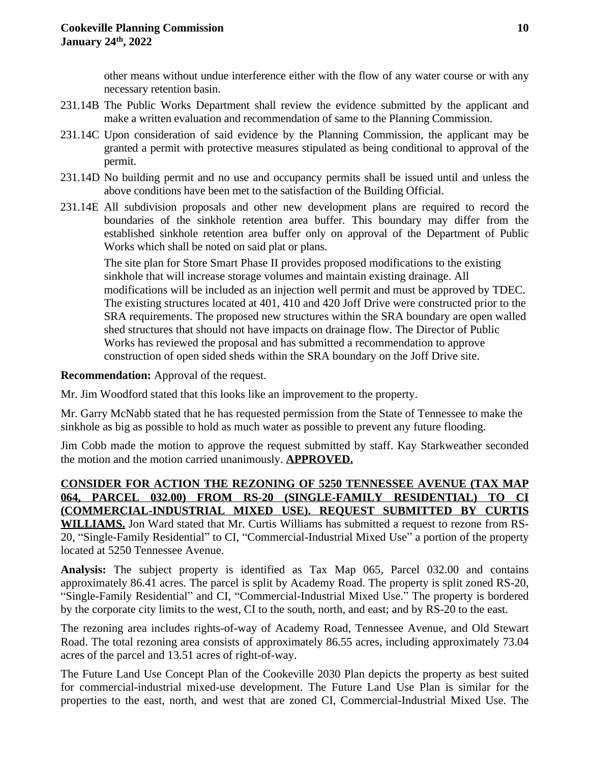other means without undue interference either with the flow of any water course or with any necessary retention basin.

- 231.14B The Public Works Department shall review the evidence submitted by the applicant and make a written evaluation and recommendation of same to the Planning Commission.
- 231.14C Upon consideration of said evidence by the Planning Commission, the applicant may be granted a permit with protective measures stipulated as being conditional to approval of the permit.
- 231.14D No building permit and no use and occupancy permits shall be issued until and unless the above conditions have been met to the satisfaction of the Building Official.
- 231.14E All subdivision proposals and other new development plans are required to record the boundaries of the sinkhole retention area buffer. This boundary may differ from the established sinkhole retention area buffer only on approval of the Department of Public Works which shall be noted on said plat or plans.

The site plan for Store Smart Phase II provides proposed modifications to the existing sinkhole that will increase storage volumes and maintain existing drainage. All modifications will be included as an injection well permit and must be approved by TDEC. The existing structures located at 401, 410 and 420 Joff Drive were constructed prior to the SRA requirements. The proposed new structures within the SRA boundary are open walled shed structures that should not have impacts on drainage flow. The Director of Public Works has reviewed the proposal and has submitted a recommendation to approve construction of open sided sheds within the SRA boundary on the Joff Drive site.

**Recommendation:** Approval of the request.

Mr. Jim Woodford stated that this looks like an improvement to the property.

Mr. Garry McNabb stated that he has requested permission from the State of Tennessee to make the sinkhole as big as possible to hold as much water as possible to prevent any future flooding.

Jim Cobb made the motion to approve the request submitted by staff. Kay Starkweather seconded the motion and the motion carried unanimously. **APPROVED.**

# **CONSIDER FOR ACTION THE REZONING OF 5250 TENNESSEE AVENUE (TAX MAP 064, PARCEL 032.00) FROM RS-20 (SINGLE-FAMILY RESIDENTIAL) TO CI (COMMERCIAL-INDUSTRIAL MIXED USE). REQUEST SUBMITTED BY CURTIS WILLIAMS.** Jon Ward stated that Mr. Curtis Williams has submitted a request to rezone from RS-20, "Single-Family Residential" to CI, "Commercial-Industrial Mixed Use" a portion of the property

located at 5250 Tennessee Avenue.

**Analysis:** The subject property is identified as Tax Map 065, Parcel 032.00 and contains approximately 86.41 acres. The parcel is split by Academy Road. The property is split zoned RS-20, "Single-Family Residential" and CI, "Commercial-Industrial Mixed Use." The property is bordered by the corporate city limits to the west, CI to the south, north, and east; and by RS-20 to the east.

The rezoning area includes rights-of-way of Academy Road, Tennessee Avenue, and Old Stewart Road. The total rezoning area consists of approximately 86.55 acres, including approximately 73.04 acres of the parcel and 13.51 acres of right-of-way.

The Future Land Use Concept Plan of the Cookeville 2030 Plan depicts the property as best suited for commercial-industrial mixed-use development. The Future Land Use Plan is similar for the properties to the east, north, and west that are zoned CI, Commercial-Industrial Mixed Use. The